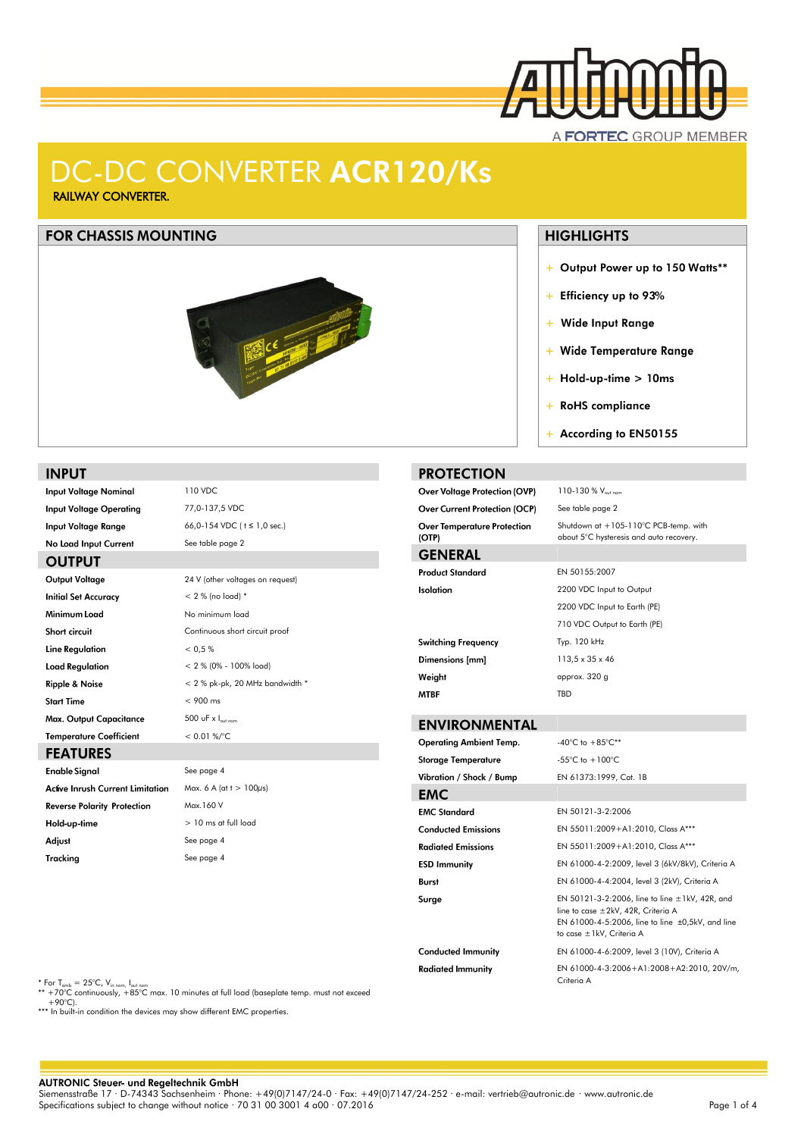

### A FORTEC GROUP MEMBER

# DC-DC CONVERTER ACR120/Ks

RAILWAY CONVERTER.

#### **FOR CHASSIS MOUNTING**



### **INPUT**

**Input Voltage Nominal** 110 VDC **Input Voltage Operating** 77,0-137,5 VDC 66,0-154 VDC ( t ≤ 1,0 sec.) **Input Voltage Range** No Load Input Current See table page 2 **OUTPUT** Output Voltage 24 V (other voltages on request) **Initial Set Accuracy**  $< 2 %$  (no load)<sup>\*</sup> Minimum Load No minimum load Short circuit Continuous short circuit proof **Line Regulation**  $< 0.5 %$ **Load Regulation** < 2 % (0% - 100% load) **Ripple & Noise**  $< 2$  % pk-pk, 20 MHz bandwidth  $*$ 

#### **Temperature Coefficient FEATURES**

Max. Output Capacitance

**Start Time** 

**Enable Signal Active Inrush Current Limitation Reverse Polarity Protection** Hold-up-time Adjust Tracking

### $< 900$  ms 500 uF  $x \, I_{\text{out nor}}$  $< 0.01 %$ See page 4 Max. 6 A (at  $t > 100\mu s$ ) Max.160 V > 10 ms at full load See page 4

### + Output Power up to 150 Watts\*\*

**HIGHLIGHTS** 

- + Efficiency up to 93%
- + Wide Input Range
- + Wide Temperature Range
- $+$  Hold-up-time  $> 10ms$
- + RoHS compliance

110-130 % Vout nom See table page 2

+ According to EN50155

Shutdown at +105-110°C PCB-temp. with about 5°C hysteresis and auto recovery.

### **PROTECTION**

Over Voltage Protection (OVP) **Over Current Protection (OCP) Over Temperature Protection**  $($ OTP $)$ 

### **GENERAL**

| <b>Product Standard</b>    | EN 50155:2007                |
|----------------------------|------------------------------|
| <b>Isolation</b>           | 2200 VDC Input to Output     |
|                            | 2200 VDC Input to Earth (PE) |
|                            | 710 VDC Output to Earth (PE) |
| <b>Switching Frequency</b> | Typ. 120 kHz                 |
| Dimensions [mm]            | $113.5 \times 35 \times 46$  |
| Weight                     | approx. 320 g                |
| <b>MTBF</b>                | <b>TBD</b>                   |

### **ENVIRONMENTAL**

| Operating Ambient Temp.    | -40°C to $+85^{\circ}$ C**                                                                                                                                                      |
|----------------------------|---------------------------------------------------------------------------------------------------------------------------------------------------------------------------------|
| Storage Temperature        | -55°C to $+100$ °C                                                                                                                                                              |
| Vibration / Shock / Bump   | EN 61373:1999, Cat. 1B                                                                                                                                                          |
| EMC                        |                                                                                                                                                                                 |
| <b>EMC Standard</b>        | EN 50121-3-2:2006                                                                                                                                                               |
| <b>Conducted Emissions</b> | EN 55011:2009+A1:2010, Class A***                                                                                                                                               |
| <b>Radiated Emissions</b>  | EN 55011:2009+A1:2010, Class A***                                                                                                                                               |
| ESD Immunity               | EN 61000-4-2:2009, level 3 (6kV/8kV), Criteria A                                                                                                                                |
| Burst                      | EN 61000-4-4:2004, level 3 (2kV), Criteria A                                                                                                                                    |
| Surge                      | EN 50121-3-2:2006, line to line $\pm$ 1kV, 42R, and<br>line to case ±2kV, 42R, Criteria A<br>EN 61000-4-5:2006, line to line $\pm 0.5$ kV, and line<br>to case ±1kV, Criteria A |
| Conducted Immunity         | EN 61000-4-6:2009, level 3 (10V), Criteria A                                                                                                                                    |
| <b>Radiated Immunity</b>   | EN 61000-4-3:2006+A1:2008+A2:2010, 20V/m,<br>Criteria A                                                                                                                         |

\* For T<sub>amb</sub> = 25°C, V<sub>in nom, I<sub>oul nom</sub><br>\*\* +70°C continuously, +85°C max. 10 minutes at full load (baseplate temp. must not exceed</sub>  $+90°C$ 

See page 4

\*\*\* In built-in condition the devices may show different EMC properties.

#### **AUTRONIC Steuer- und Regeltechnik GmbH**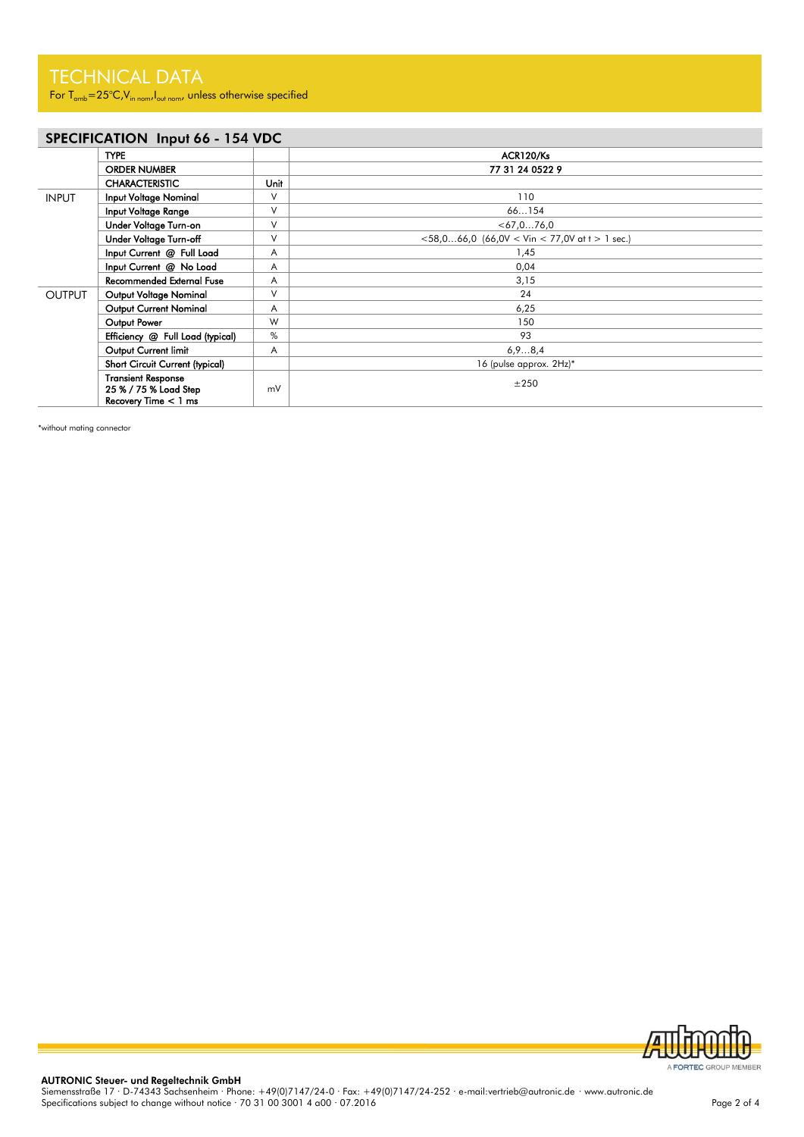For  $T_{amb} = 25^{\circ}C$ , V<sub>in nom</sub>, I<sub>out nom</sub>, unless otherwise specified

### SPECIFICATION Input 66 - 154 VDC

|               | <b>TYPE</b>                                                                  |        | ACR120/Ks                                              |
|---------------|------------------------------------------------------------------------------|--------|--------------------------------------------------------|
|               | <b>ORDER NUMBER</b>                                                          |        | 77 31 24 0522 9                                        |
|               | <b>CHARACTERISTIC</b>                                                        | Unit   |                                                        |
| <b>INPUT</b>  | <b>Input Voltage Nominal</b>                                                 | V      | 110                                                    |
|               | Input Voltage Range                                                          | $\vee$ | 66154                                                  |
|               | Under Voltage Turn-on                                                        | $\vee$ | $<$ 67, 0 76, 0                                        |
|               | Under Voltage Turn-off                                                       | V      | $<$ 58,066,0 (66,0V $<$ Vin $<$ 77,0V at t $>$ 1 sec.) |
|               | Input Current @ Full Load                                                    | A      | 1,45                                                   |
|               | Input Current @ No Load                                                      | A      | 0,04                                                   |
|               | <b>Recommended External Fuse</b>                                             | A      | 3,15                                                   |
| <b>OUTPUT</b> | Output Voltage Nominal                                                       | $\vee$ | 24                                                     |
|               | <b>Output Current Nominal</b>                                                | A      | 6,25                                                   |
|               | Output Power                                                                 | W      | 150                                                    |
|               | Efficiency @ Full Load (typical)                                             | $\%$   | 93                                                     |
|               | Output Current limit                                                         | Α      | 6,98,4                                                 |
|               | Short Circuit Current (typical)                                              |        | 16 (pulse approx. 2Hz)*                                |
|               | <b>Transient Response</b><br>25 % / 75 % Load Step<br>Recovery Time $< 1$ ms | mV     | ±250                                                   |

\*without mating connector

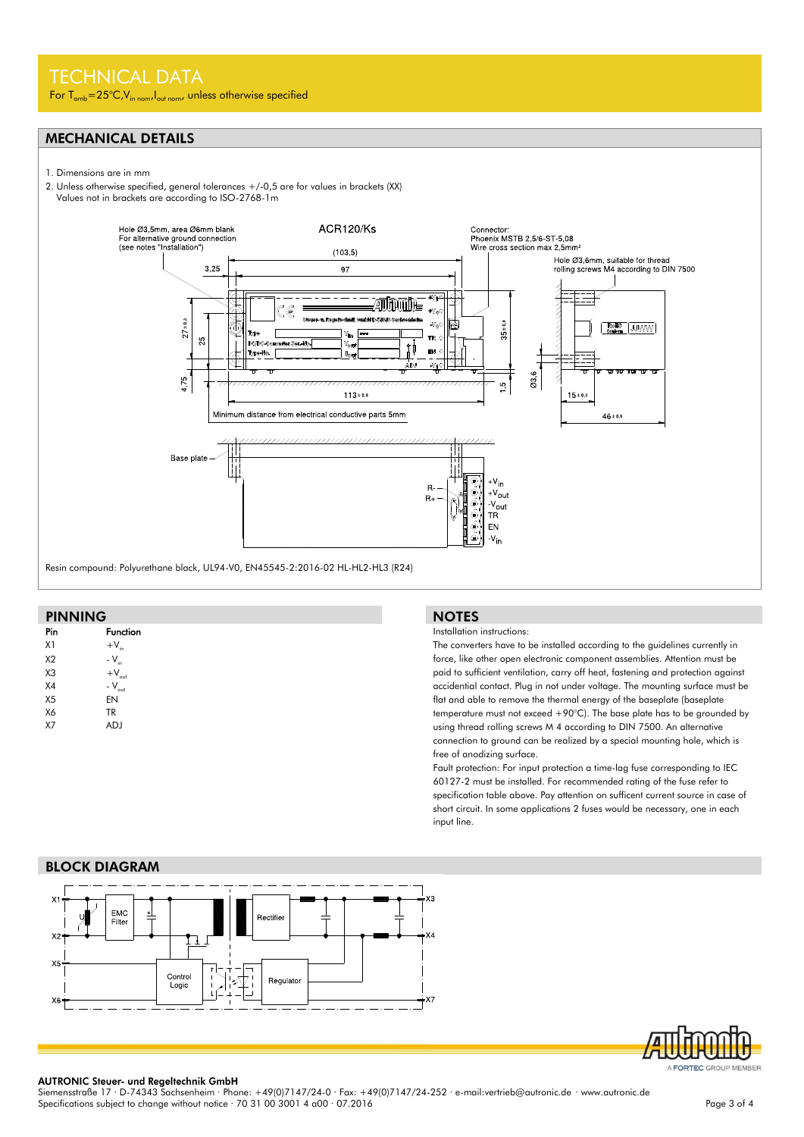### TECHNICAL DATA

For  $T_{amb} = 25^{\circ}C$ ,  $V_{in\ nomb}I_{out\ nomb}$ , unless otherwise specified

### **MECHANICAL DETAILS**

- 1. Dimensions are in mm
- 2. Unless otherwise specified, general tolerances +/-0,5 are for values in brackets (XX) Values not in brackets are according to ISO-2768-1m
- 



### **PINNING**

| Pin            | <b>Function</b>   |  |
|----------------|-------------------|--|
| X1             | $+V_{in}$         |  |
| X <sub>2</sub> | - $V_{in}$        |  |
| X <sub>3</sub> | $+V_{\text{out}}$ |  |
| X <sub>4</sub> | $-V_{\text{out}}$ |  |
| X <sub>5</sub> | EN                |  |
| X6             | <b>TR</b>         |  |
| <b>X7</b>      | ADJ               |  |
|                |                   |  |

#### **NOTES**

#### Installation instructions:

The converters have to be installed according to the guidelines currently in force, like other open electronic component assemblies. Attention must be paid to sufficient ventilation, carry off heat, fastening and protection against accidential contact. Plug in not under voltage. The mounting surface must be flat and able to remove the thermal energy of the baseplate (baseplate temperature must not exceed +90°C). The base plate has to be grounded by using thread rolling screws M 4 according to DIN 7500. An alternative connection to ground can be realized by a special mounting hole, which is free of anodizing surface.

Fault protection: For input protection a time-lag fuse corresponding to IEC 60127-2 must be installed. For recommended rating of the fuse refer to specification table above. Pay attention on sufficent current source in case of short circuit. In some applications 2 fuses would be necessary, one in each input line.

### **BLOCK DIAGRAM**





AUTRONIC Steuer- und Regeltechnik GmbH<br>Siemensstraße 17 · D-74343 Sachsenheim · Phone: +49(0)7147/24-0 · Fax: +49(0)7147/24-252 · e-mail:vertrieb@autronic.de · www.autronic.de Specifications subject to change without notice · 70 31 00 3001 4 a00 · 07.2016 Page 3 of 4